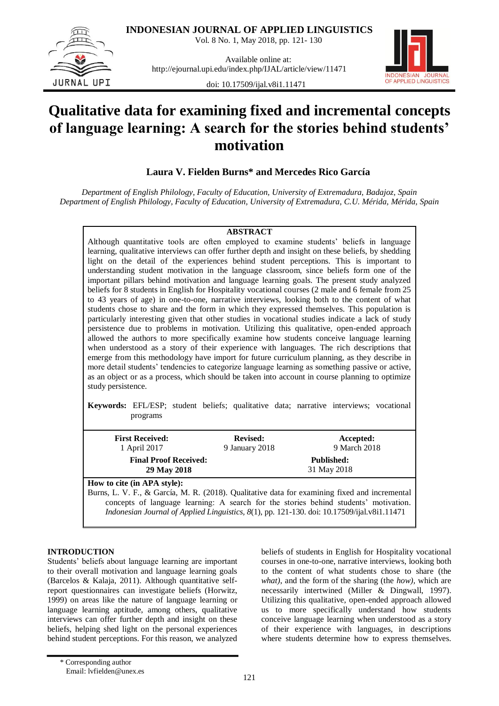**INDONESIAN JOURNAL OF APPLIED LINGUISTICS**

Vol. 8 No. 1, May 2018, pp. 121- 130



Available online at: http://ejournal.upi.edu/index.php/IJAL/article/view/11471



doi: 10.17509/ijal.v8i1.11471

# **Qualitative data for examining fixed and incremental concepts of language learning: A search for the stories behind students' motivation**

**Laura V. Fielden Burns\* and Mercedes Rico García**

*Department of English Philology, Faculty of Education, University of Extremadura, Badajoz, Spain Department of English Philology, Faculty of Education, University of Extremadura, C.U. Mérida, Mérida, Spain*

# **ABSTRACT**

Although quantitative tools are often employed to examine students" beliefs in language learning, qualitative interviews can offer further depth and insight on these beliefs, by shedding light on the detail of the experiences behind student perceptions. This is important to understanding student motivation in the language classroom, since beliefs form one of the important pillars behind motivation and language learning goals. The present study analyzed beliefs for 8 students in English for Hospitality vocational courses (2 male and 6 female from 25 to 43 years of age) in one-to-one, narrative interviews, looking both to the content of what students chose to share and the form in which they expressed themselves. This population is particularly interesting given that other studies in vocational studies indicate a lack of study persistence due to problems in motivation. Utilizing this qualitative, open-ended approach allowed the authors to more specifically examine how students conceive language learning when understood as a story of their experience with languages. The rich descriptions that emerge from this methodology have import for future curriculum planning, as they describe in more detail students" tendencies to categorize language learning as something passive or active, as an object or as a process, which should be taken into account in course planning to optimize study persistence.

**Keywords:** EFL/ESP; student beliefs; qualitative data; narrative interviews; vocational programs

| <b>First Received:</b><br>1 April 2017      | <b>Revised:</b><br>9 January 2018 | Accepted:<br>9 March 2018        |
|---------------------------------------------|-----------------------------------|----------------------------------|
| <b>Final Proof Received:</b><br>29 May 2018 |                                   | <b>Published:</b><br>31 May 2018 |
| How to cite (in APA style):                 |                                   |                                  |

Burns, L. V. F., & García, M. R. (2018). Qualitative data for examining fixed and incremental concepts of language learning: A search for the stories behind students' motivation. *Indonesian Journal of Applied Linguistics, 8*(1), pp. 121-130. doi[: 10.17509/ijal.v8i1.11471](http://dx.doi.org/10.17509/ijal.v8i1.11471) 

# **INTRODUCTION**

Students" beliefs about language learning are important to their overall motivation and language learning goals (Barcelos & Kalaja, 2011). Although quantitative selfreport questionnaires can investigate beliefs (Horwitz, 1999) on areas like the nature of language learning or language learning aptitude, among others, qualitative interviews can offer further depth and insight on these beliefs, helping shed light on the personal experiences behind student perceptions. For this reason, we analyzed beliefs of students in English for Hospitality vocational courses in one-to-one, narrative interviews, looking both to the content of what students chose to share (the *what)*, and the form of the sharing (the *how),* which are necessarily intertwined (Miller & Dingwall, 1997). Utilizing this qualitative, open-ended approach allowed us to more specifically understand how students conceive language learning when understood as a story of their experience with languages, in descriptions where students determine how to express themselves.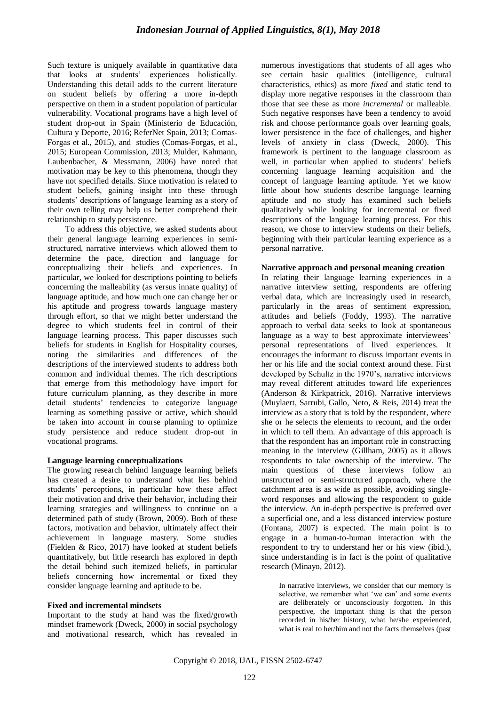Such texture is uniquely available in quantitative data that looks at students" experiences holistically. Understanding this detail adds to the current literature on student beliefs by offering a more in-depth perspective on them in a student population of particular vulnerability. Vocational programs have a high level of student drop-out in Spain (Ministerio de Educación, Cultura y Deporte, 2016; ReferNet Spain, 2013; [Comas-](https://library.iated.org/authors/Ruben_Comas-Forgas)[Forgas](https://library.iated.org/authors/Ruben_Comas-Forgas) et al., 2015), and studies [\(Comas-Forgas,](https://library.iated.org/authors/Ruben_Comas-Forgas) et al., 2015; European Commission, 2013; Mulder, Kahmann, Laubenbacher, & Messmann, 2006) have noted that motivation may be key to this phenomena, though they have not specified details. Since motivation is related to student beliefs, gaining insight into these through students" descriptions of language learning as a story of their own telling may help us better comprehend their relationship to study persistence.

To address this objective, we asked students about their general language learning experiences in semistructured, narrative interviews which allowed them to determine the pace, direction and language for conceptualizing their beliefs and experiences. In particular, we looked for descriptions pointing to beliefs concerning the malleability (as versus innate quality) of language aptitude, and how much one can change her or his aptitude and progress towards language mastery through effort, so that we might better understand the degree to which students feel in control of their language learning process. This paper discusses such beliefs for students in English for Hospitality courses, noting the similarities and differences of the descriptions of the interviewed students to address both common and individual themes. The rich descriptions that emerge from this methodology have import for future curriculum planning, as they describe in more detail students" tendencies to categorize language learning as something passive or active, which should be taken into account in course planning to optimize study persistence and reduce student drop-out in vocational programs.

# **Language learning conceptualizations**

The growing research behind language learning beliefs has created a desire to understand what lies behind students" perceptions, in particular how these affect their motivation and drive their behavior, including their learning strategies and willingness to continue on a determined path of study (Brown, 2009). Both of these factors, motivation and behavior, ultimately affect their achievement in language mastery. Some studies (Fielden & Rico, 2017) have looked at student beliefs quantitatively, but little research has explored in depth the detail behind such itemized beliefs, in particular beliefs concerning how incremental or fixed they consider language learning and aptitude to be.

# **Fixed and incremental mindsets**

Important to the study at hand was the fixed/growth mindset framework (Dweck, 2000) in social psychology and motivational research, which has revealed in numerous investigations that students of all ages who see certain basic qualities (intelligence, cultural characteristics, ethics) as more *fixed* and static tend to display more negative responses in the classroom than those that see these as more *incremental* or malleable. Such negative responses have been a tendency to avoid risk and choose performance goals over learning goals, lower persistence in the face of challenges, and higher levels of anxiety in class (Dweck, 2000). This framework is pertinent to the language classroom as well, in particular when applied to students' beliefs concerning language learning acquisition and the concept of language learning aptitude. Yet we know little about how students describe language learning aptitude and no study has examined such beliefs qualitatively while looking for incremental or fixed descriptions of the language learning process. For this reason, we chose to interview students on their beliefs, beginning with their particular learning experience as a personal narrative.

#### **Narrative approach and personal meaning creation**

In relating their language learning experiences in a narrative interview setting, respondents are offering verbal data, which are increasingly used in research, particularly in the areas of sentiment expression, attitudes and beliefs (Foddy, 1993). The narrative approach to verbal data seeks to look at spontaneous language as a way to best approximate interviewees' personal representations of lived experiences. It encourages the informant to discuss important events in her or his life and the social context around these. First developed by Schultz in the 1970's, narrative interviews may reveal different attitudes toward life experiences (Anderson & Kirkpatrick, 2016). Narrative interviews (Muylaert, Sarrubi, Gallo, Neto, & Reis, 2014) treat the interview as a story that is told by the respondent, where she or he selects the elements to recount, and the order in which to tell them. An advantage of this approach is that the respondent has an important role in constructing meaning in the interview (Gillham, 2005) as it allows respondents to take ownership of the interview. The main questions of these interviews follow an unstructured or semi-structured approach, where the catchment area is as wide as possible, avoiding singleword responses and allowing the respondent to guide the interview. An in-depth perspective is preferred over a superficial one, and a less distanced interview posture (Fontana, 2007) is expected. The main point is to engage in a human-to-human interaction with the respondent to try to understand her or his view (ibid.), since understanding is in fact is the point of qualitative research (Minayo, 2012).

In narrative interviews, we consider that our memory is selective, we remember what 'we can' and some events are deliberately or unconsciously forgotten. In this perspective, the important thing is that the person recorded in his/her history, what he/she experienced, what is real to her/him and not the facts themselves (past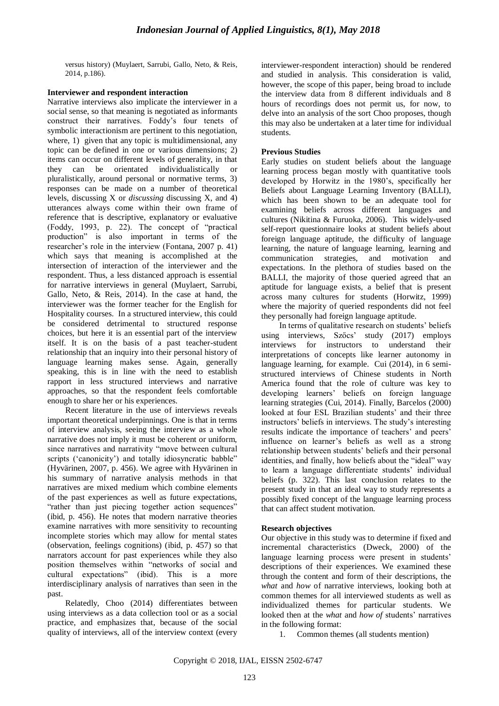versus history) (Muylaert, Sarrubi, Gallo, Neto, & Reis, 2014, p.186).

# **Interviewer and respondent interaction**

Narrative interviews also implicate the interviewer in a social sense, so that meaning is negotiated as informants construct their narratives. Foddy"s four tenets of symbolic interactionism are pertinent to this negotiation, where, 1) given that any topic is multidimensional, any topic can be defined in one or various dimensions; 2) items can occur on different levels of generality, in that they can be orientated individualistically or pluralistically, around personal or normative terms, 3) responses can be made on a number of theoretical levels, discussing X or *discussing* discussing X, and 4) utterances always come within their own frame of reference that is descriptive, explanatory or evaluative (Foddy, 1993, p. 22). The concept of "practical production" is also important in terms of the researcher"s role in the interview (Fontana, 2007 p. 41) which says that meaning is accomplished at the intersection of interaction of the interviewer and the respondent. Thus, a less distanced approach is essential for narrative interviews in general (Muylaert, Sarrubi, Gallo, Neto, & Reis, 2014). In the case at hand, the interviewer was the former teacher for the English for Hospitality courses. In a structured interview, this could be considered detrimental to structured response choices, but here it is an essential part of the interview itself. It is on the basis of a past teacher-student relationship that an inquiry into their personal history of language learning makes sense. Again, generally speaking, this is in line with the need to establish rapport in less structured interviews and narrative approaches, so that the respondent feels comfortable enough to share her or his experiences.

Recent literature in the use of interviews reveals important theoretical underpinnings. One is that in terms of interview analysis, seeing the interview as a whole narrative does not imply it must be coherent or uniform, since narratives and narrativity "move between cultural scripts ('canonicity') and totally idiosyncratic babble" (Hyvärinen, 2007, p. 456). We agree with Hyvärinen in his summary of narrative analysis methods in that narratives are mixed medium which combine elements of the past experiences as well as future expectations, "rather than just piecing together action sequences" (ibid, p. 456). He notes that modern narrative theories examine narratives with more sensitivity to recounting incomplete stories which may allow for mental states (observation, feelings cognitions) (ibid, p. 457) so that narrators account for past experiences while they also position themselves within "networks of social and cultural expectations" (ibid). This is a more interdisciplinary analysis of narratives than seen in the past.

Relatedly, Choo (2014) differentiates between using interviews as a data collection tool or as a social practice, and emphasizes that, because of the social quality of interviews, all of the interview context (every interviewer-respondent interaction) should be rendered and studied in analysis. This consideration is valid, however, the scope of this paper, being broad to include the interview data from 8 different individuals and 8 hours of recordings does not permit us, for now, to delve into an analysis of the sort Choo proposes, though this may also be undertaken at a later time for individual students.

# **Previous Studies**

Early studies on student beliefs about the language learning process began mostly with quantitative tools developed by Horwitz in the 1980"s, specifically her Beliefs about Language Learning Inventory (BALLI), which has been shown to be an adequate tool for examining beliefs across different languages and cultures (Nikitina & Furuoka, 2006). This widely-used self-report questionnaire looks at student beliefs about foreign language aptitude, the difficulty of language learning, the nature of language learning, learning and communication strategies, and motivation and expectations. In the plethora of studies based on the BALLI, the majority of those queried agreed that an aptitude for language exists, a belief that is present across many cultures for students (Horwitz, 1999) where the majority of queried respondents did not feel they personally had foreign language aptitude.

In terms of qualitative research on students' beliefs using interviews, Szőcs' study (2017) employs interviews for instructors to understand their interpretations of concepts like learner autonomy in language learning, for example. Cui (2014), in 6 semistructured interviews of Chinese students in North America found that the role of culture was key to developing learners" beliefs on foreign language learning strategies (Cui, 2014). Finally, Barcelos (2000) looked at four ESL Brazilian students' and their three instructors" beliefs in interviews. The study"s interesting results indicate the importance of teachers' and peers' influence on learner's beliefs as well as a strong relationship between students" beliefs and their personal identities, and finally, how beliefs about the "ideal" way to learn a language differentiate students' individual beliefs (p. 322). This last conclusion relates to the present study in that an ideal way to study represents a possibly fixed concept of the language learning process that can affect student motivation.

# **Research objectives**

Our objective in this study was to determine if fixed and incremental characteristics (Dweck, 2000) of the language learning process were present in students' descriptions of their experiences. We examined these through the content and form of their descriptions, the *what* and *how* of narrative interviews, looking both at common themes for all interviewed students as well as individualized themes for particular students. We looked then at the *what* and *how of* students' narratives in the following format:

1. Common themes (all students mention)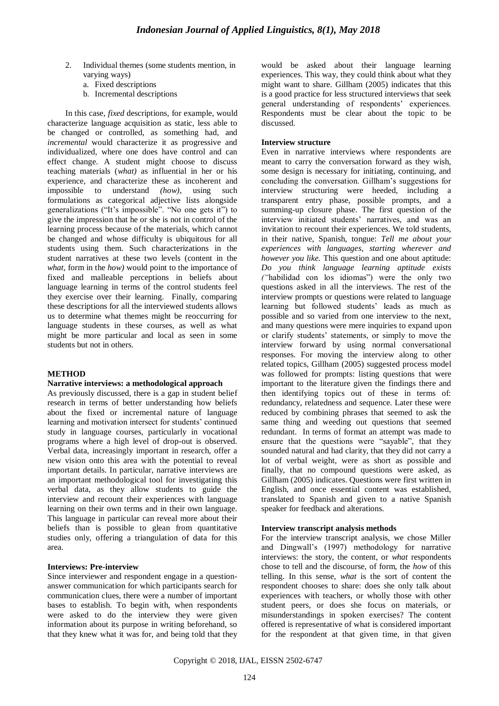- 2. Individual themes (some students mention, in varying ways)
	- a. Fixed descriptions
	- b. Incremental descriptions

In this case, *fixed* descriptions*,* for example, would characterize language acquisition as static, less able to be changed or controlled, as something had, and *incremental* would characterize it as progressive and individualized, where one does have control and can effect change. A student might choose to discuss teaching materials (*what)* as influential in her or his experience, and characterize these as incoherent and impossible to understand *(how)*, using such formulations as categorical adjective lists alongside generalizations ("It's impossible". "No one gets it") to give the impression that he or she is not in control of the learning process because of the materials, which cannot be changed and whose difficulty is ubiquitous for all students using them. Such characterizations in the student narratives at these two levels (content in the *what,* form in the *how)* would point to the importance of fixed and malleable perceptions in beliefs about language learning in terms of the control students feel they exercise over their learning. Finally, comparing these descriptions for all the interviewed students allows us to determine what themes might be reoccurring for language students in these courses, as well as what might be more particular and local as seen in some students but not in others.

# **METHOD**

#### **Narrative interviews: a methodological approach**

As previously discussed, there is a gap in student belief research in terms of better understanding how beliefs about the fixed or incremental nature of language learning and motivation intersect for students' continued study in language courses, particularly in vocational programs where a high level of drop-out is observed. Verbal data, increasingly important in research, offer a new vision onto this area with the potential to reveal important details. In particular, narrative interviews are an important methodological tool for investigating this verbal data, as they allow students to guide the interview and recount their experiences with language learning on their own terms and in their own language. This language in particular can reveal more about their beliefs than is possible to glean from quantitative studies only, offering a triangulation of data for this area.

#### **Interviews: Pre-interview**

Since interviewer and respondent engage in a questionanswer communication for which participants search for communication clues, there were a number of important bases to establish. To begin with, when respondents were asked to do the interview they were given information about its purpose in writing beforehand, so that they knew what it was for, and being told that they would be asked about their language learning experiences. This way, they could think about what they might want to share. Gillham (2005) indicates that this is a good practice for less structured interviews that seek general understanding of respondents' experiences. Respondents must be clear about the topic to be discussed.

# **Interview structure**

Even in narrative interviews where respondents are meant to carry the conversation forward as they wish, some design is necessary for initiating, continuing, and concluding the conversation. Gillham"s suggestions for interview structuring were heeded, including a transparent entry phase, possible prompts, and a summing-up closure phase. The first question of the interview initiated students' narratives, and was an invitation to recount their experiences. We told students, in their native, Spanish, tongue: *Tell me about your experiences with languages, starting wherever and however you like.* This question and one about aptitude: *Do you think language learning aptitude exists ("*habilidad con los idiomas") were the only two questions asked in all the interviews. The rest of the interview prompts or questions were related to language learning but followed students' leads as much as possible and so varied from one interview to the next, and many questions were mere inquiries to expand upon or clarify students" statements, or simply to move the interview forward by using normal conversational responses. For moving the interview along to other related topics, Gillham (2005) suggested process model was followed for prompts: listing questions that were important to the literature given the findings there and then identifying topics out of these in terms of: redundancy, relatedness and sequence. Later these were reduced by combining phrases that seemed to ask the same thing and weeding out questions that seemed redundant. In terms of format an attempt was made to ensure that the questions were "sayable", that they sounded natural and had clarity, that they did not carry a lot of verbal weight, were as short as possible and finally, that no compound questions were asked, as Gillham (2005) indicates. Questions were first written in English, and once essential content was established, translated to Spanish and given to a native Spanish speaker for feedback and alterations.

#### **Interview transcript analysis methods**

For the interview transcript analysis, we chose Miller and Dingwall"s (1997) methodology for narrative interviews: the story, the content, or *what* respondents chose to tell and the discourse, of form, the *how* of this telling. In this sense, *what* is the sort of content the respondent chooses to share: does she only talk about experiences with teachers, or wholly those with other student peers, or does she focus on materials, or misunderstandings in spoken exercises? The content offered is representative of what is considered important for the respondent at that given time, in that given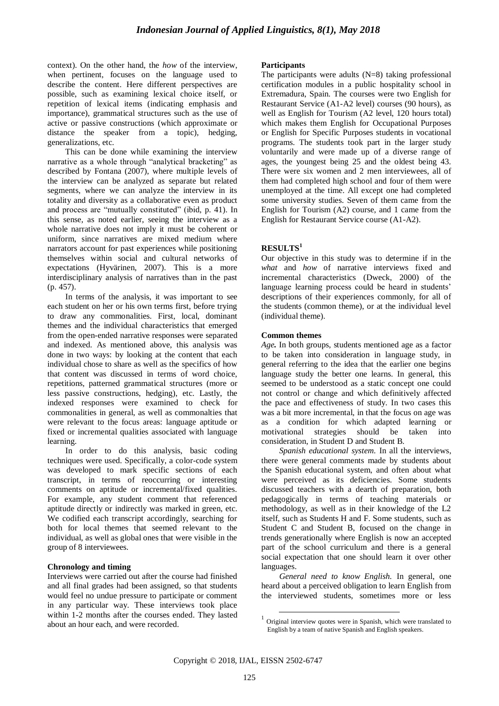context). On the other hand, the *how* of the interview, when pertinent, focuses on the language used to describe the content. Here different perspectives are possible, such as examining lexical choice itself, or repetition of lexical items (indicating emphasis and importance), grammatical structures such as the use of active or passive constructions (which approximate or distance the speaker from a topic), hedging, generalizations, etc.

This can be done while examining the interview narrative as a whole through "analytical bracketing" as described by Fontana (2007), where multiple levels of the interview can be analyzed as separate but related segments, where we can analyze the interview in its totality and diversity as a collaborative even as product and process are "mutually constituted" (ibid, p. 41). In this sense, as noted earlier, seeing the interview as a whole narrative does not imply it must be coherent or uniform, since narratives are mixed medium where narrators account for past experiences while positioning themselves within social and cultural networks of expectations (Hyvärinen, 2007). This is a more interdisciplinary analysis of narratives than in the past (p. 457).

In terms of the analysis, it was important to see each student on her or his own terms first, before trying to draw any commonalities. First, local, dominant themes and the individual characteristics that emerged from the open-ended narrative responses were separated and indexed. As mentioned above, this analysis was done in two ways: by looking at the content that each individual chose to share as well as the specifics of how that content was discussed in terms of word choice, repetitions, patterned grammatical structures (more or less passive constructions, hedging), etc. Lastly, the indexed responses were examined to check for commonalities in general, as well as commonalties that were relevant to the focus areas: language aptitude or fixed or incremental qualities associated with language learning.

In order to do this analysis, basic coding techniques were used. Specifically, a color-code system was developed to mark specific sections of each transcript, in terms of reoccurring or interesting comments on aptitude or incremental/fixed qualities. For example, any student comment that referenced aptitude directly or indirectly was marked in green, etc. We codified each transcript accordingly, searching for both for local themes that seemed relevant to the individual, as well as global ones that were visible in the group of 8 interviewees.

# **Chronology and timing**

Interviews were carried out after the course had finished and all final grades had been assigned, so that students would feel no undue pressure to participate or comment in any particular way. These interviews took place within 1-2 months after the courses ended. They lasted about an hour each, and were recorded.

#### **Participants**

The participants were adults (N=8) taking professional certification modules in a public hospitality school in Extremadura, Spain. The courses were two English for Restaurant Service (A1-A2 level) courses (90 hours), as well as English for Tourism (A2 level, 120 hours total) which makes them English for Occupational Purposes or English for Specific Purposes students in vocational programs. The students took part in the larger study voluntarily and were made up of a diverse range of ages, the youngest being 25 and the oldest being 43. There were six women and 2 men interviewees, all of them had completed high school and four of them were unemployed at the time. All except one had completed some university studies. Seven of them came from the English for Tourism (A2) course, and 1 came from the English for Restaurant Service course (A1-A2).

## **RESULTS<sup>1</sup>**

Our objective in this study was to determine if in the *what* and *how* of narrative interviews fixed and incremental characteristics (Dweck, 2000) of the language learning process could be heard in students' descriptions of their experiences commonly, for all of the students (common theme), or at the individual level (individual theme).

#### **Common themes**

*Age.* In both groups, students mentioned age as a factor to be taken into consideration in language study, in general referring to the idea that the earlier one begins language study the better one learns. In general, this seemed to be understood as a static concept one could not control or change and which definitively affected the pace and effectiveness of study. In two cases this was a bit more incremental, in that the focus on age was as a condition for which adapted learning or motivational strategies should be taken into consideration, in Student D and Student B.

*Spanish educational system.* In all the interviews, there were general comments made by students about the Spanish educational system, and often about what were perceived as its deficiencies. Some students discussed teachers with a dearth of preparation, both pedagogically in terms of teaching materials or methodology, as well as in their knowledge of the L2 itself, such as Students H and F. Some students, such as Student C and Student B, focused on the change in trends generationally where English is now an accepted part of the school curriculum and there is a general social expectation that one should learn it over other languages.

*General need to know English.* In general, one heard about a perceived obligation to learn English from the interviewed students, sometimes more or less

1

<sup>&</sup>lt;sup>1</sup> Original interview quotes were in Spanish, which were translated to English by a team of native Spanish and English speakers.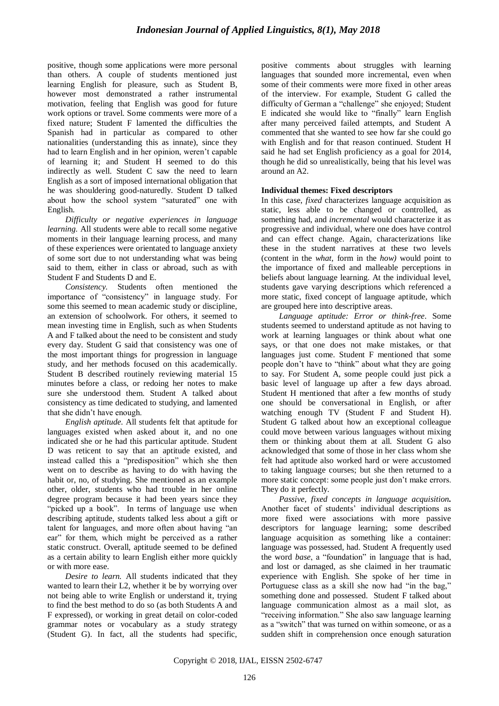positive, though some applications were more personal than others. A couple of students mentioned just learning English for pleasure, such as Student B, however most demonstrated a rather instrumental motivation, feeling that English was good for future work options or travel. Some comments were more of a fixed nature; Student F lamented the difficulties the Spanish had in particular as compared to other nationalities (understanding this as innate), since they had to learn English and in her opinion, weren"t capable of learning it; and Student H seemed to do this indirectly as well. Student C saw the need to learn English as a sort of imposed international obligation that he was shouldering good-naturedly. Student D talked about how the school system "saturated" one with English.

*Difficulty or negative experiences in language learning.* All students were able to recall some negative moments in their language learning process, and many of these experiences were orientated to language anxiety of some sort due to not understanding what was being said to them, either in class or abroad, such as with Student F and Students D and E.

*Consistency.* Students often mentioned the importance of "consistency" in language study. For some this seemed to mean academic study or discipline, an extension of schoolwork. For others, it seemed to mean investing time in English, such as when Students A and F talked about the need to be consistent and study every day. Student G said that consistency was one of the most important things for progression in language study, and her methods focused on this academically. Student B described routinely reviewing material 15 minutes before a class, or redoing her notes to make sure she understood them. Student A talked about consistency as time dedicated to studying, and lamented that she didn"t have enough.

*English aptitude.* All students felt that aptitude for languages existed when asked about it, and no one indicated she or he had this particular aptitude. Student D was reticent to say that an aptitude existed, and instead called this a "predisposition" which she then went on to describe as having to do with having the habit or, no, of studying. She mentioned as an example other, older, students who had trouble in her online degree program because it had been years since they "picked up a book". In terms of language use when describing aptitude, students talked less about a gift or talent for languages, and more often about having "an ear" for them, which might be perceived as a rather static construct. Overall, aptitude seemed to be defined as a certain ability to learn English either more quickly or with more ease.

*Desire to learn.* All students indicated that they wanted to learn their L2, whether it be by worrying over not being able to write English or understand it, trying to find the best method to do so (as both Students A and F expressed), or working in great detail on color-coded grammar notes or vocabulary as a study strategy (Student G). In fact, all the students had specific, positive comments about struggles with learning languages that sounded more incremental, even when some of their comments were more fixed in other areas of the interview. For example, Student G called the difficulty of German a "challenge" she enjoyed; Student E indicated she would like to "finally" learn English after many perceived failed attempts, and Student A commented that she wanted to see how far she could go with English and for that reason continued. Student H said he had set English proficiency as a goal for 2014, though he did so unrealistically, being that his level was around an A2.

## **Individual themes: Fixed descriptors**

In this case, *fixed* characterizes language acquisition as static, less able to be changed or controlled, as something had, and *incremental* would characterize it as progressive and individual, where one does have control and can effect change. Again, characterizations like these in the student narratives at these two levels (content in the *what,* form in the *how)* would point to the importance of fixed and malleable perceptions in beliefs about language learning. At the individual level, students gave varying descriptions which referenced a more static, fixed concept of language aptitude, which are grouped here into descriptive areas.

*Language aptitude: Error or think-free*. Some students seemed to understand aptitude as not having to work at learning languages or think about what one says, or that one does not make mistakes, or that languages just come. Student F mentioned that some people don"t have to "think" about what they are going to say. For Student A, some people could just pick a basic level of language up after a few days abroad. Student H mentioned that after a few months of study one should be conversational in English, or after watching enough TV (Student F and Student H). Student G talked about how an exceptional colleague could move between various languages without mixing them or thinking about them at all. Student G also acknowledged that some of those in her class whom she felt had aptitude also worked hard or were accustomed to taking language courses; but she then returned to a more static concept: some people just don"t make errors. They do it perfectly.

*Passive, fixed concepts in language acquisition.* Another facet of students' individual descriptions as more fixed were associations with more passive descriptors for language learning; some described language acquisition as something like a container: language was possessed, had. Student A frequently used the word *base*, a "foundation" in language that is had, and lost or damaged, as she claimed in her traumatic experience with English. She spoke of her time in Portuguese class as a skill she now had "in the bag," something done and possessed. Student F talked about language communication almost as a mail slot, as "receiving information." She also saw language learning as a "switch" that was turned on within someone, or as a sudden shift in comprehension once enough saturation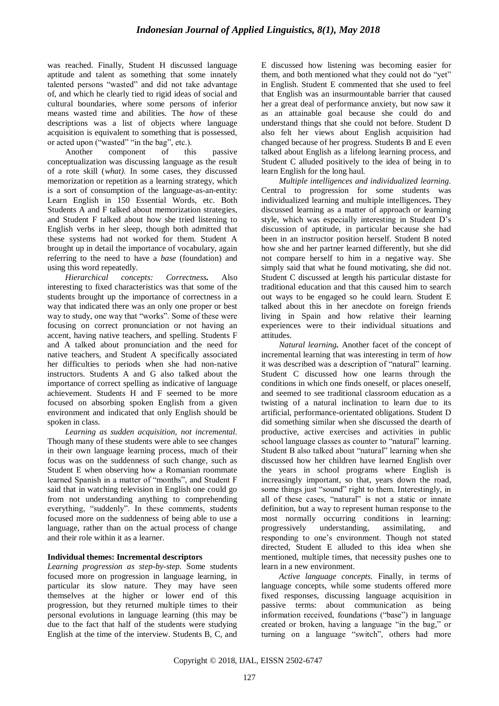was reached. Finally, Student H discussed language aptitude and talent as something that some innately talented persons "wasted" and did not take advantage of, and which he clearly tied to rigid ideas of social and cultural boundaries, where some persons of inferior means wasted time and abilities. The *how* of these descriptions was a list of objects where language acquisition is equivalent to something that is possessed, or acted upon ("wasted" "in the bag", etc.).

Another component of this passive conceptualization was discussing language as the result of a rote skill (*what).* In some cases, they discussed memorization or repetition as a learning strategy, which is a sort of consumption of the language-as-an-entity: Learn English in 150 Essential Words, etc. Both Students A and F talked about memorization strategies, and Student F talked about how she tried listening to English verbs in her sleep, though both admitted that these systems had not worked for them. Student A brought up in detail the importance of vocabulary, again referring to the need to have a *base* (foundation) and using this word repeatedly.

*Hierarchical concepts: Correctness.* Also interesting to fixed characteristics was that some of the students brought up the importance of correctness in a way that indicated there was an only one proper or best way to study, one way that "works". Some of these were focusing on correct pronunciation or not having an accent, having native teachers, and spelling. Students F and A talked about pronunciation and the need for native teachers, and Student A specifically associated her difficulties to periods when she had non-native instructors. Students A and G also talked about the importance of correct spelling as indicative of language achievement. Students H and F seemed to be more focused on absorbing spoken English from a given environment and indicated that only English should be spoken in class.

*Learning as sudden acquisition, not incremental.* Though many of these students were able to see changes in their own language learning process, much of their focus was on the suddenness of such change, such as Student E when observing how a Romanian roommate learned Spanish in a matter of "months", and Student F said that in watching television in English one could go from not understanding anything to comprehending everything, "suddenly". In these comments, students focused more on the suddenness of being able to use a language, rather than on the actual process of change and their role within it as a learner.

# **Individual themes: Incremental descriptors**

*Learning progression as step-by-step.* Some students focused more on progression in language learning, in particular its slow nature. They may have seen themselves at the higher or lower end of this progression, but they returned multiple times to their personal evolutions in language learning (this may be due to the fact that half of the students were studying English at the time of the interview. Students B, C, and

E discussed how listening was becoming easier for them, and both mentioned what they could not do "yet" in English. Student E commented that she used to feel that English was an insurmountable barrier that caused her a great deal of performance anxiety, but now saw it as an attainable goal because she could do and understand things that she could not before. Student D also felt her views about English acquisition had changed because of her progress. Students B and E even talked about English as a lifelong learning process, and Student C alluded positively to the idea of being in to learn English for the long haul.

*Multiple intelligences and individualized learning.* Central to progression for some students was individualized learning and multiple intelligences**.** They discussed learning as a matter of approach or learning style, which was especially interesting in Student D"s discussion of aptitude, in particular because she had been in an instructor position herself. Student B noted how she and her partner learned differently, but she did not compare herself to him in a negative way. She simply said that what he found motivating, she did not. Student C discussed at length his particular distaste for traditional education and that this caused him to search out ways to be engaged so he could learn. Student E talked about this in her anecdote on foreign friends living in Spain and how relative their learning experiences were to their individual situations and attitudes.

*Natural learning.* Another facet of the concept of incremental learning that was interesting in term of *how*  it was described was a description of "natural" learning. Student C discussed how one learns through the conditions in which one finds oneself, or places oneself, and seemed to see traditional classroom education as a twisting of a natural inclination to learn due to its artificial, performance-orientated obligations. Student D did something similar when she discussed the dearth of productive, active exercises and activities in public school language classes as counter to "natural" learning. Student B also talked about "natural" learning when she discussed how her children have learned English over the years in school programs where English is increasingly important, so that, years down the road, some things just "sound" right to them. Interestingly, in all of these cases, "natural" is not a static or innate definition, but a way to represent human response to the most normally occurring conditions in learning: progressively understanding, assimilating, and responding to one"s environment. Though not stated directed, Student E alluded to this idea when she mentioned, multiple times, that necessity pushes one to learn in a new environment.

*Active language concepts.* Finally, in terms of language concepts, while some students offered more fixed responses, discussing language acquisition in passive terms: about communication as being information received, foundations ("base") in language created or broken, having a language "in the bag," or turning on a language "switch", others had more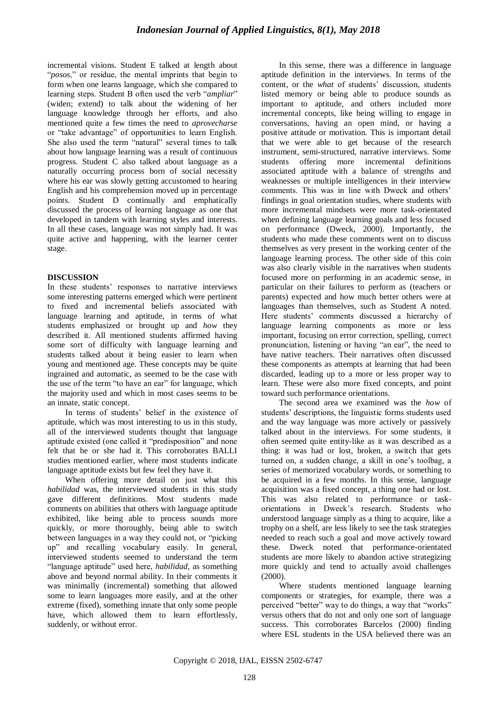incremental visions. Student E talked at length about "*posos*," or residue, the mental imprints that begin to form when one learns language, which she compared to learning steps. Student B often used the verb "*ampliar*" (widen; extend) to talk about the widening of her language knowledge through her efforts, and also mentioned quite a few times the need to *aprovecharse*  or "take advantage" of opportunities to learn English. She also used the term "natural" several times to talk about how language learning was a result of continuous progress. Student C also talked about language as a naturally occurring process born of social necessity where his ear was slowly getting accustomed to hearing English and his comprehension moved up in percentage points. Student D continually and emphatically discussed the process of learning language as one that developed in tandem with learning styles and interests. In all these cases, language was not simply had. It was quite active and happening, with the learner center stage.

# **DISCUSSION**

In these students' responses to narrative interviews some interesting patterns emerged which were pertinent to fixed and incremental beliefs associated with language learning and aptitude, in terms of what students emphasized or brought up and *how* they described it. All mentioned students affirmed having some sort of difficulty with language learning and students talked about it being easier to learn when young and mentioned age. These concepts may be quite ingrained and automatic, as seemed to be the case with the use of the term "to have an ear" for language, which the majority used and which in most cases seems to be an innate, static concept.

In terms of students' belief in the existence of aptitude, which was most interesting to us in this study, all of the interviewed students thought that language aptitude existed (one called it "predisposition" and none felt that he or she had it. This corroborates BALLI studies mentioned earlier, where most students indicate language aptitude exists but few feel they have it.

When offering more detail on just what this *habilidad* was, the interviewed students in this study gave different definitions. Most students made comments on abilities that others with language aptitude exhibited, like being able to process sounds more quickly, or more thoroughly, being able to switch between languages in a way they could not, or "picking up" and recalling vocabulary easily. In general, interviewed students seemed to understand the term "language aptitude" used here, *habilidad*, as something above and beyond normal ability. In their comments it was minimally (incremental) something that allowed some to learn languages more easily, and at the other extreme (fixed), something innate that only some people have, which allowed them to learn effortlessly, suddenly, or without error.

In this sense, there was a difference in language aptitude definition in the interviews. In terms of the content, or the *what* of students' discussion, students listed memory or being able to produce sounds as important to aptitude, and others included more incremental concepts, like being willing to engage in conversations, having an open mind, or having a positive attitude or motivation. This is important detail that we were able to get because of the research instrument, semi-structured, narrative interviews. Some students offering more incremental definitions associated aptitude with a balance of strengths and weaknesses or multiple intelligences in their interview comments. This was in line with Dweck and others" findings in goal orientation studies, where students with more incremental mindsets were more task-orientated when defining language learning goals and less focused on performance (Dweck, 2000). Importantly, the students who made these comments went on to discuss themselves as very present in the working center of the language learning process. The other side of this coin was also clearly visible in the narratives when students focused more on performing in an academic sense, in particular on their failures to perform as (teachers or parents) expected and how much better others were at languages than themselves, such as Student A noted. Here students' comments discussed a hierarchy of language learning components as more or less important, focusing on error correction, spelling, correct pronunciation, listening or having "an ear", the need to have native teachers. Their narratives often discussed these components as attempts at learning that had been discarded, leading up to a more or less proper way to learn. These were also more fixed concepts, and point toward such performance orientations.

The second area we examined was the *how* of students' descriptions, the linguistic forms students used and the way language was more actively or passively talked about in the interviews. For some students, it often seemed quite entity-like as it was described as a thing: it was had or lost, broken, a switch that gets turned on, a sudden change, a skill in one"s toolbag, a series of memorized vocabulary words, or something to be acquired in a few months. In this sense, language acquisition was a fixed concept, a thing one had or lost. This was also related to performance or taskorientations in Dweck"s research. Students who understood language simply as a thing to acquire, like a trophy on a shelf, are less likely to see the task strategies needed to reach such a goal and move actively toward these. Dweck noted that performance-orientated students are more likely to abandon active strategizing more quickly and tend to actually avoid challenges (2000).

Where students mentioned language learning components or strategies, for example, there was a perceived "better" way to do things, a way that "works" versus others that do not and only one sort of language success. This corroborates Barcelos (2000) finding where ESL students in the USA believed there was an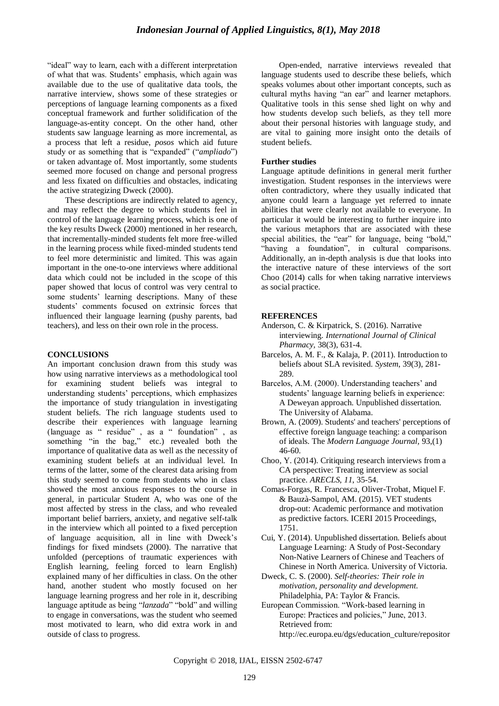"ideal" way to learn, each with a different interpretation of what that was. Students" emphasis, which again was available due to the use of qualitative data tools, the narrative interview, shows some of these strategies or perceptions of language learning components as a fixed conceptual framework and further solidification of the language-as-entity concept. On the other hand, other students saw language learning as more incremental, as a process that left a residue, *posos* which aid future study or as something that is "expanded" ("*ampliado*") or taken advantage of. Most importantly, some students seemed more focused on change and personal progress and less fixated on difficulties and obstacles, indicating the active strategizing Dweck (2000).

These descriptions are indirectly related to agency, and may reflect the degree to which students feel in control of the language learning process, which is one of the key results Dweck (2000) mentioned in her research, that incrementally-minded students felt more free-willed in the learning process while fixed-minded students tend to feel more deterministic and limited. This was again important in the one-to-one interviews where additional data which could not be included in the scope of this paper showed that locus of control was very central to some students' learning descriptions. Many of these students" comments focused on extrinsic forces that influenced their language learning (pushy parents, bad teachers), and less on their own role in the process.

# **CONCLUSIONS**

An important conclusion drawn from this study was how using narrative interviews as a methodological tool for examining student beliefs was integral to understanding students" perceptions, which emphasizes the importance of study triangulation in investigating student beliefs. The rich language students used to describe their experiences with language learning (language as " residue" , as a " foundation" , as something "in the bag," etc.) revealed both the importance of qualitative data as well as the necessity of examining student beliefs at an individual level. In terms of the latter, some of the clearest data arising from this study seemed to come from students who in class showed the most anxious responses to the course in general, in particular Student A, who was one of the most affected by stress in the class, and who revealed important belief barriers, anxiety, and negative self-talk in the interview which all pointed to a fixed perception of language acquisition, all in line with Dweck"s findings for fixed mindsets (2000). The narrative that unfolded (perceptions of traumatic experiences with English learning, feeling forced to learn English) explained many of her difficulties in class. On the other hand, another student who mostly focused on her language learning progress and her role in it, describing language aptitude as being "*lanzada*" "bold" and willing to engage in conversations, was the student who seemed most motivated to learn, who did extra work in and outside of class to progress.

Open-ended, narrative interviews revealed that language students used to describe these beliefs, which speaks volumes about other important concepts, such as cultural myths having "an ear" and learner metaphors. Qualitative tools in this sense shed light on why and how students develop such beliefs, as they tell more about their personal histories with language study, and are vital to gaining more insight onto the details of student beliefs.

## **Further studies**

Language aptitude definitions in general merit further investigation. Student responses in the interviews were often contradictory, where they usually indicated that anyone could learn a language yet referred to innate abilities that were clearly not available to everyone. In particular it would be interesting to further inquire into the various metaphors that are associated with these special abilities, the "ear" for language, being "bold," "having a foundation", in cultural comparisons. Additionally, an in-depth analysis is due that looks into the interactive nature of these interviews of the sort Choo (2014) calls for when taking narrative interviews as social practice.

## **REFERENCES**

- Anderson, C. & Kirpatrick, S. (2016). Narrative interviewing. *International Journal of Clinical Pharmacy,* 38(3), 631-4.
- Barcelos, A. M. F., & Kalaja, P. (2011). Introduction to beliefs about SLA revisited. *System*, 39(3), 281- 289.
- Barcelos, A.M. (2000). Understanding teachers' and students' language learning beliefs in experience: A Deweyan approach. Unpublished dissertation. The University of Alabama.
- Brown, A. (2009). Students' and teachers' perceptions of effective foreign language teaching: a comparison of ideals. The *Modern Language Journal,* 93,(1) 46-60.
- Choo, Y. (2014). Critiquing research interviews from a CA perspective: Treating interview as social practice. *ARECLS*, *11*, 35-54.
- Comas-Forgas, R. Francesca, Oliver-Trobat, Miquel F. & Bauzà-Sampol, AM. (2015). VET students drop-out: Academic performance and motivation as predictive factors. ICERI 2015 Proceedings, 1751.
- Cui, Y. (2014). Unpublished dissertation. Beliefs about Language Learning: A Study of Post-Secondary Non-Native Learners of Chinese and Teachers of Chinese in North America. University of Victoria.
- Dweck, C. S. (2000). *Self-theories: Their role in motivation, personality and development.* Philadelphia, PA: Taylor & Francis.
- European Commission. "Work-based learning in Europe: Practices and policies," June, 2013. Retrieved from: [http://ec.europa.eu/dgs/education\\_culture/repositor](http://ec.europa.eu/dgs/education_culture/repository/education/policy/vocational-policy/doc/alliance/work-based-learning-in-europe_en.pdf)

Copyright © 2018, IJAL, EISSN [2502-6747](http://u.lipi.go.id/1435827202)